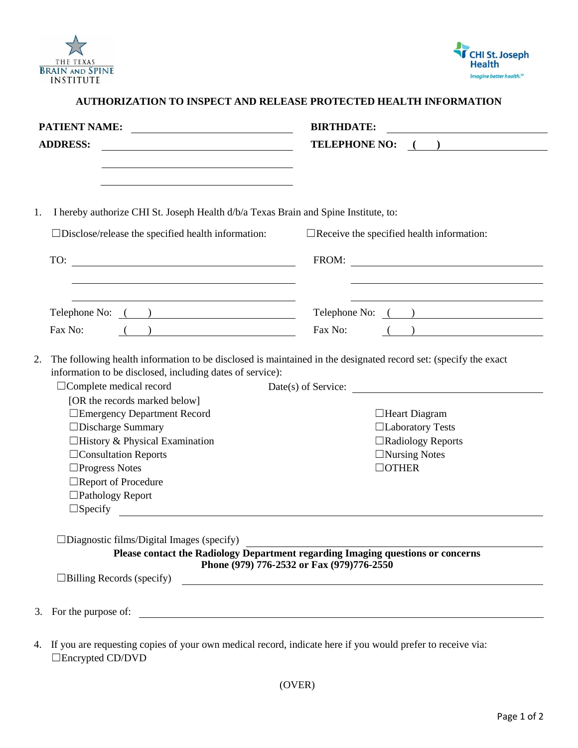



| <b>BIRTHDATE:</b><br><u> 1980 - Johann Barn, mars eta bainar eta baina eta baina eta baina eta baina eta baina eta baina eta baina e</u>                                                                                                                                                                                                                                                                                                                                                                            |
|---------------------------------------------------------------------------------------------------------------------------------------------------------------------------------------------------------------------------------------------------------------------------------------------------------------------------------------------------------------------------------------------------------------------------------------------------------------------------------------------------------------------|
| TELEPHONE NO: ()                                                                                                                                                                                                                                                                                                                                                                                                                                                                                                    |
| I hereby authorize CHI St. Joseph Health d/b/a Texas Brain and Spine Institute, to:<br>$\Box$ Receive the specified health information:<br><u> 1980 - Johann Barbara, martxa amerikan personal (h. 1980).</u><br>FROM:                                                                                                                                                                                                                                                                                              |
|                                                                                                                                                                                                                                                                                                                                                                                                                                                                                                                     |
| Telephone No: ( )<br>Telephone No: ( )                                                                                                                                                                                                                                                                                                                                                                                                                                                                              |
| Fax No:<br>$\overline{a}$ ( )<br>$\begin{array}{ c c c c c }\n\hline\n\text{( )} & \text{( )} & \text{( )} & \text{( )} & \text{( )} & \text{( )} & \text{( )} & \text{( )} & \text{( )} & \text{( )} & \text{( )} & \text{( )} & \text{( )} & \text{( )} & \text{( )} & \text{( )} & \text{( )} & \text{( )} & \text{( )} & \text{( )} & \text{( )} & \text{( )} & \text{( )} & \text{( )} & \text{( )} & \text{( )} & \text{( )} & \text{( )} & \text{( )} & \text{( )} & \text{( )} & \text{( )} & \text{( )} &$ |
| Date(s) of Service:                                                                                                                                                                                                                                                                                                                                                                                                                                                                                                 |
| $\Box$ Heart Diagram<br>□Laboratory Tests                                                                                                                                                                                                                                                                                                                                                                                                                                                                           |
| $\Box$ Radiology Reports                                                                                                                                                                                                                                                                                                                                                                                                                                                                                            |
| $\Box$ Nursing Notes                                                                                                                                                                                                                                                                                                                                                                                                                                                                                                |
| $\Box$ OTHER                                                                                                                                                                                                                                                                                                                                                                                                                                                                                                        |
|                                                                                                                                                                                                                                                                                                                                                                                                                                                                                                                     |
|                                                                                                                                                                                                                                                                                                                                                                                                                                                                                                                     |
| $\Box$ Specify $\qquad \qquad \qquad$<br>Please contact the Radiology Department regarding Imaging questions or concerns<br>Phone (979) 776-2532 or Fax (979)776-2550                                                                                                                                                                                                                                                                                                                                               |
| the control of the control of the control of the control of the control of the control of the control of the control of the control of the control of the control of the control of the control of the control of the control                                                                                                                                                                                                                                                                                       |
| <u> 2002 - Jan Barnett, fransk politiker (d. 1882)</u>                                                                                                                                                                                                                                                                                                                                                                                                                                                              |
| PATIENT NAME:<br>The following health information to be disclosed is maintained in the designated record set: (specify the exact                                                                                                                                                                                                                                                                                                                                                                                    |

4. If you are requesting copies of your own medical record, indicate here if you would prefer to receive via: ☐Encrypted CD/DVD